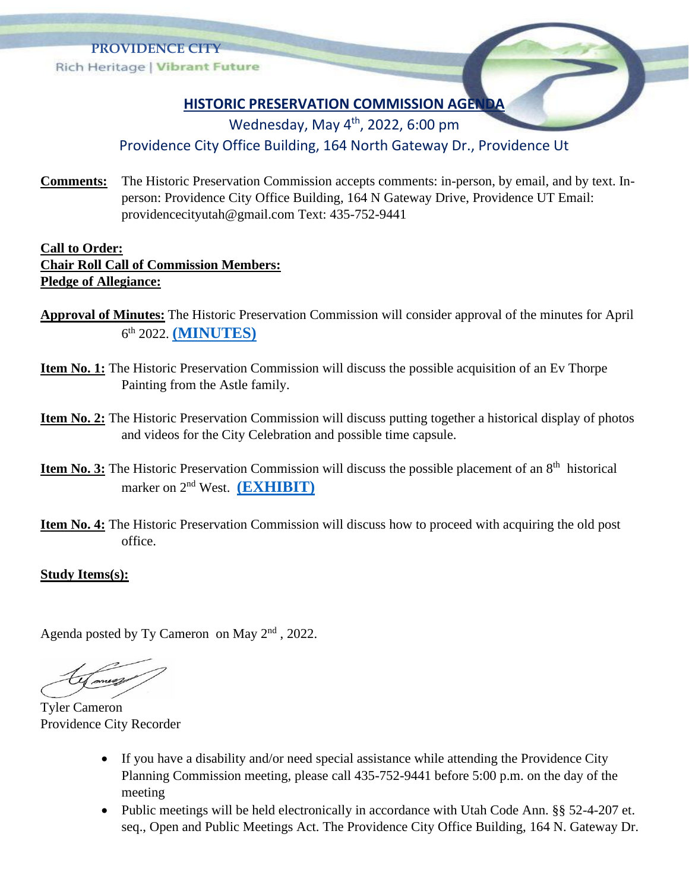

## **HISTORIC PRESERVATION COMMISSION AGENDA**

Wednesday, May 4<sup>th</sup>, 2022, 6:00 pm

## Providence City Office Building, 164 North Gateway Dr., Providence Ut

**Comments:** The Historic Preservation Commission accepts comments: in-person, by email, and by text. Inperson: Providence City Office Building, 164 N Gateway Drive, Providence UT Email: providencecityutah@gmail.com Text: 435-752-9441

## **Call to Order: Chair Roll Call of Commission Members: Pledge of Allegiance:**

- **Approval of Minutes:** The Historic Preservation Commission will consider approval of the minutes for April 6 th 2022. **[\(MINUTES\)](https://providencecity.com/wp-content/uploads/2022/05/HPC-min-04-06-2022-DRAFT.pdf)**
- **Item No. 1:** The Historic Preservation Commission will discuss the possible acquisition of an Ev Thorpe Painting from the Astle family.
- **Item No. 2:** The Historic Preservation Commission will discuss putting together a historical display of photos and videos for the City Celebration and possible time capsule.
- **Item No. 3:** The Historic Preservation Commission will discuss the possible placement of an 8<sup>th</sup> historical marker on 2nd West. **[\(EXHIBIT\)](https://providencecity.com/wp-content/uploads/2022/04/Farming-The-Life-Blood-of-the-Settlement.pdf)**
- **Item No. 4:** The Historic Preservation Commission will discuss how to proceed with acquiring the old post office.

## **Study Items(s):**

Agenda posted by Ty Cameron on May  $2<sup>nd</sup>$ , 2022.

Tyler Cameron Providence City Recorder

- If you have a disability and/or need special assistance while attending the Providence City Planning Commission meeting, please call 435-752-9441 before 5:00 p.m. on the day of the meeting
- Public meetings will be held electronically in accordance with Utah Code Ann. §§ 52-4-207 et. seq., Open and Public Meetings Act. The Providence City Office Building, 164 N. Gateway Dr.